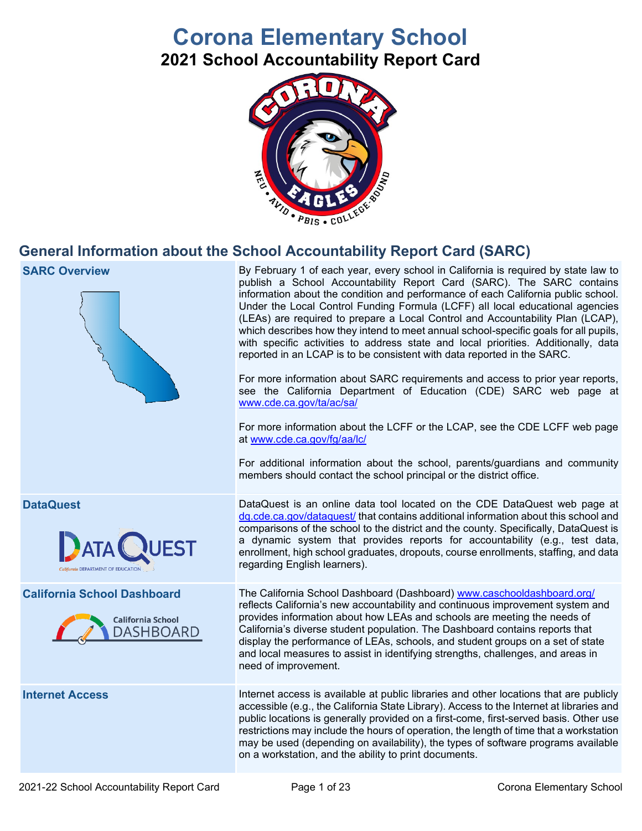# **Corona Elementary School**

**2021 School Accountability Report Card**



## **General Information about the School Accountability Report Card (SARC)**

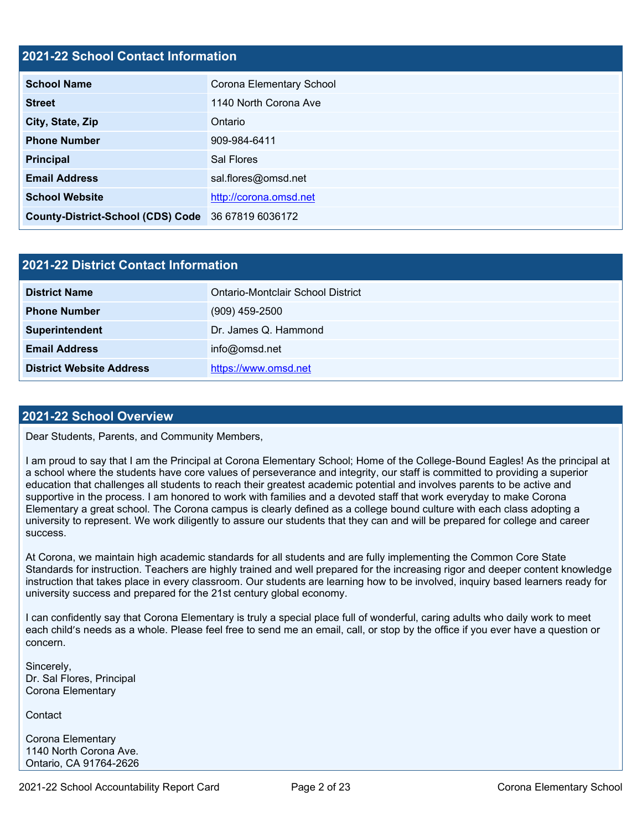### **2021-22 School Contact Information**

| <b>School Name</b>                                 | Corona Elementary School |  |  |  |  |
|----------------------------------------------------|--------------------------|--|--|--|--|
| <b>Street</b>                                      | 1140 North Corona Ave    |  |  |  |  |
| City, State, Zip                                   | Ontario                  |  |  |  |  |
| <b>Phone Number</b>                                | 909-984-6411             |  |  |  |  |
| <b>Principal</b>                                   | Sal Flores               |  |  |  |  |
| <b>Email Address</b>                               | sal.flores@omsd.net      |  |  |  |  |
| <b>School Website</b>                              | http://corona.omsd.net   |  |  |  |  |
| County-District-School (CDS) Code 36 67819 6036172 |                          |  |  |  |  |

| 2021-22 District Contact Information |                                   |  |  |  |
|--------------------------------------|-----------------------------------|--|--|--|
| <b>District Name</b>                 | Ontario-Montclair School District |  |  |  |
| <b>Phone Number</b>                  | $(909)$ 459-2500                  |  |  |  |
| Superintendent                       | Dr. James Q. Hammond              |  |  |  |
| <b>Email Address</b>                 | info@omsd.net                     |  |  |  |
| <b>District Website Address</b>      | https://www.omsd.net              |  |  |  |

### **2021-22 School Overview**

Dear Students, Parents, and Community Members,

I am proud to say that I am the Principal at Corona Elementary School; Home of the College-Bound Eagles! As the principal at a school where the students have core values of perseverance and integrity, our staff is committed to providing a superior education that challenges all students to reach their greatest academic potential and involves parents to be active and supportive in the process. I am honored to work with families and a devoted staff that work everyday to make Corona Elementary a great school. The Corona campus is clearly defined as a college bound culture with each class adopting a university to represent. We work diligently to assure our students that they can and will be prepared for college and career success.

At Corona, we maintain high academic standards for all students and are fully implementing the Common Core State Standards for instruction. Teachers are highly trained and well prepared for the increasing rigor and deeper content knowledge instruction that takes place in every classroom. Our students are learning how to be involved, inquiry based learners ready for university success and prepared for the 21st century global economy.

I can confidently say that Corona Elementary is truly a special place full of wonderful, caring adults who daily work to meet each child's needs as a whole. Please feel free to send me an email, call, or stop by the office if you ever have a question or concern.

Sincerely, Dr. Sal Flores, Principal Corona Elementary

**Contact** 

Corona Elementary 1140 North Corona Ave. Ontario, CA 91764-2626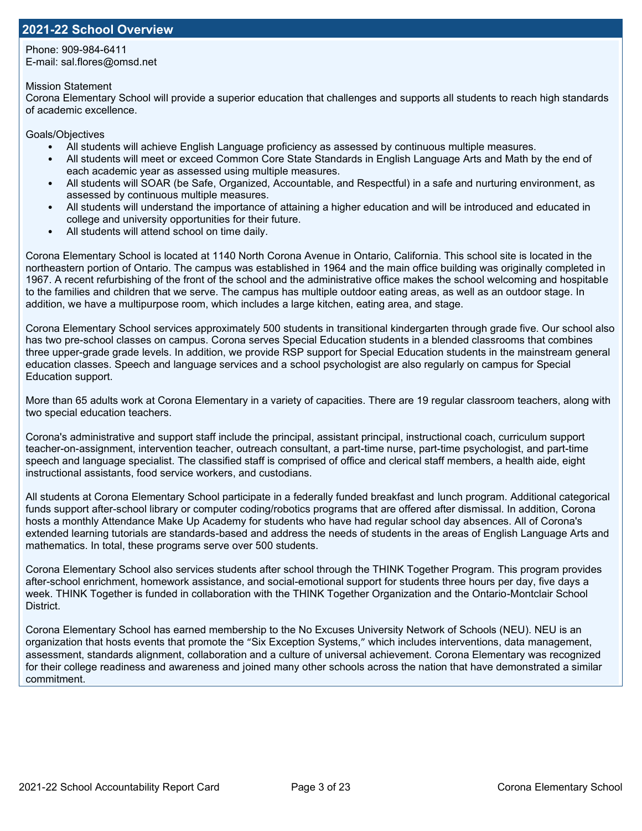### **2021-22 School Overview**

Phone: 909-984-6411 E-mail: sal.flores@omsd.net

Mission Statement

Corona Elementary School will provide a superior education that challenges and supports all students to reach high standards of academic excellence.

Goals/Objectives

- All students will achieve English Language proficiency as assessed by continuous multiple measures.
- All students will meet or exceed Common Core State Standards in English Language Arts and Math by the end of each academic year as assessed using multiple measures.
- All students will SOAR (be Safe, Organized, Accountable, and Respectful) in a safe and nurturing environment, as assessed by continuous multiple measures.
- All students will understand the importance of attaining a higher education and will be introduced and educated in college and university opportunities for their future.
- All students will attend school on time daily.

Corona Elementary School is located at 1140 North Corona Avenue in Ontario, California. This school site is located in the northeastern portion of Ontario. The campus was established in 1964 and the main office building was originally completed in 1967. A recent refurbishing of the front of the school and the administrative office makes the school welcoming and hospitable to the families and children that we serve. The campus has multiple outdoor eating areas, as well as an outdoor stage. In addition, we have a multipurpose room, which includes a large kitchen, eating area, and stage.

Corona Elementary School services approximately 500 students in transitional kindergarten through grade five. Our school also has two pre-school classes on campus. Corona serves Special Education students in a blended classrooms that combines three upper-grade grade levels. In addition, we provide RSP support for Special Education students in the mainstream general education classes. Speech and language services and a school psychologist are also regularly on campus for Special Education support.

More than 65 adults work at Corona Elementary in a variety of capacities. There are 19 regular classroom teachers, along with two special education teachers.

Corona's administrative and support staff include the principal, assistant principal, instructional coach, curriculum support teacher-on-assignment, intervention teacher, outreach consultant, a part-time nurse, part-time psychologist, and part-time speech and language specialist. The classified staff is comprised of office and clerical staff members, a health aide, eight instructional assistants, food service workers, and custodians.

All students at Corona Elementary School participate in a federally funded breakfast and lunch program. Additional categorical funds support after-school library or computer coding/robotics programs that are offered after dismissal. In addition, Corona hosts a monthly Attendance Make Up Academy for students who have had regular school day absences. All of Corona's extended learning tutorials are standards-based and address the needs of students in the areas of English Language Arts and mathematics. In total, these programs serve over 500 students.

Corona Elementary School also services students after school through the THINK Together Program. This program provides after-school enrichment, homework assistance, and social-emotional support for students three hours per day, five days a week. THINK Together is funded in collaboration with the THINK Together Organization and the Ontario-Montclair School District.

Corona Elementary School has earned membership to the No Excuses University Network of Schools (NEU). NEU is an organization that hosts events that promote the "Six Exception Systems," which includes interventions, data management, assessment, standards alignment, collaboration and a culture of universal achievement. Corona Elementary was recognized for their college readiness and awareness and joined many other schools across the nation that have demonstrated a similar commitment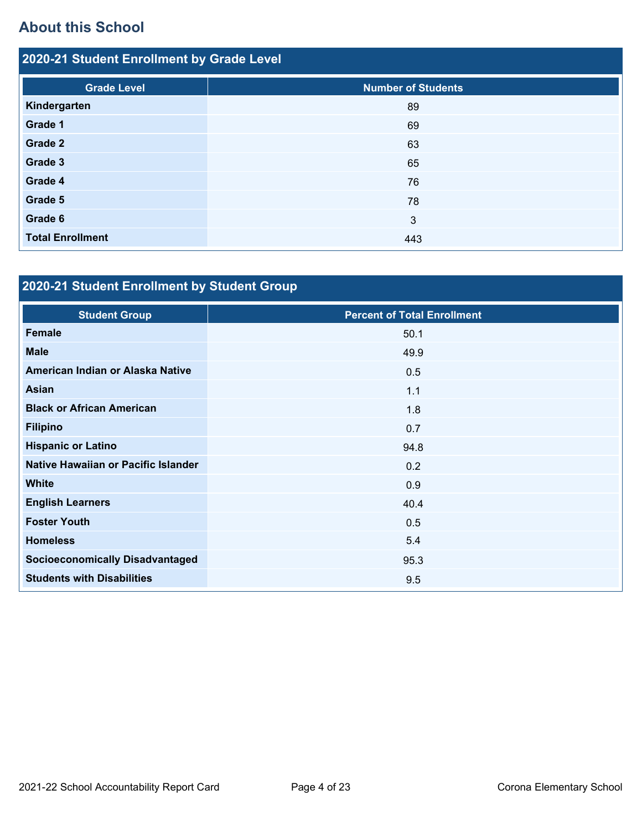# **About this School**

| 2020-21 Student Enrollment by Grade Level |                           |  |  |  |
|-------------------------------------------|---------------------------|--|--|--|
| <b>Grade Level</b>                        | <b>Number of Students</b> |  |  |  |
| Kindergarten                              | 89                        |  |  |  |
| Grade 1                                   | 69                        |  |  |  |
| Grade 2                                   | 63                        |  |  |  |
| Grade 3                                   | 65                        |  |  |  |
| Grade 4                                   | 76                        |  |  |  |
| Grade 5                                   | 78                        |  |  |  |
| Grade 6                                   | 3                         |  |  |  |
| <b>Total Enrollment</b>                   | 443                       |  |  |  |

# **2020-21 Student Enrollment by Student Group**

| <b>Student Group</b>                   | <b>Percent of Total Enrollment</b> |
|----------------------------------------|------------------------------------|
| <b>Female</b>                          | 50.1                               |
| <b>Male</b>                            | 49.9                               |
| American Indian or Alaska Native       | 0.5                                |
| <b>Asian</b>                           | 1.1                                |
| <b>Black or African American</b>       | 1.8                                |
| <b>Filipino</b>                        | 0.7                                |
| <b>Hispanic or Latino</b>              | 94.8                               |
| Native Hawaiian or Pacific Islander    | 0.2                                |
| <b>White</b>                           | 0.9                                |
| <b>English Learners</b>                | 40.4                               |
| <b>Foster Youth</b>                    | 0.5                                |
| <b>Homeless</b>                        | 5.4                                |
| <b>Socioeconomically Disadvantaged</b> | 95.3                               |
| <b>Students with Disabilities</b>      | 9.5                                |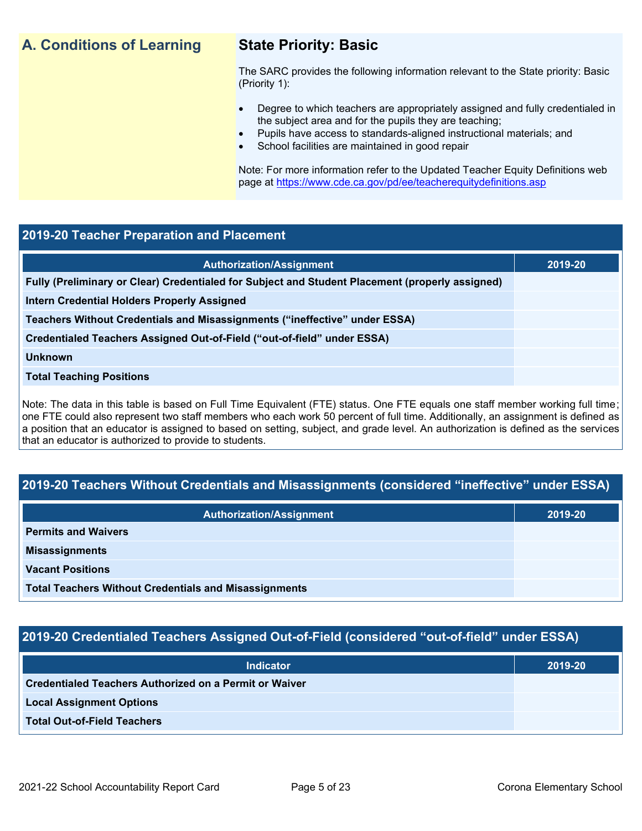## **A. Conditions of Learning State Priority: Basic**

The SARC provides the following information relevant to the State priority: Basic (Priority 1):

- Degree to which teachers are appropriately assigned and fully credentialed in the subject area and for the pupils they are teaching;
	- Pupils have access to standards-aligned instructional materials; and
- School facilities are maintained in good repair

Note: For more information refer to the Updated Teacher Equity Definitions web page at<https://www.cde.ca.gov/pd/ee/teacherequitydefinitions.asp>

### **2019-20 Teacher Preparation and Placement**

| <b>Authorization/Assignment</b>                                                                 | 2019-20 |
|-------------------------------------------------------------------------------------------------|---------|
| Fully (Preliminary or Clear) Credentialed for Subject and Student Placement (properly assigned) |         |
| Intern Credential Holders Properly Assigned                                                     |         |
| Teachers Without Credentials and Misassignments ("ineffective" under ESSA)                      |         |
| Credentialed Teachers Assigned Out-of-Field ("out-of-field" under ESSA)                         |         |
| <b>Unknown</b>                                                                                  |         |
| <b>Total Teaching Positions</b>                                                                 |         |
|                                                                                                 |         |

Note: The data in this table is based on Full Time Equivalent (FTE) status. One FTE equals one staff member working full time; one FTE could also represent two staff members who each work 50 percent of full time. Additionally, an assignment is defined as a position that an educator is assigned to based on setting, subject, and grade level. An authorization is defined as the services that an educator is authorized to provide to students.

### **2019-20 Teachers Without Credentials and Misassignments (considered "ineffective" under ESSA)**

| <b>Authorization/Assignment</b>                              | 2019-20 |
|--------------------------------------------------------------|---------|
| <b>Permits and Waivers</b>                                   |         |
| <b>Misassignments</b>                                        |         |
| <b>Vacant Positions</b>                                      |         |
| <b>Total Teachers Without Credentials and Misassignments</b> |         |

### **2019-20 Credentialed Teachers Assigned Out-of-Field (considered "out-of-field" under ESSA)**

| <b>Indicator</b>                                              | 2019-20 |
|---------------------------------------------------------------|---------|
| <b>Credentialed Teachers Authorized on a Permit or Waiver</b> |         |
| <b>Local Assignment Options</b>                               |         |
| <b>Total Out-of-Field Teachers</b>                            |         |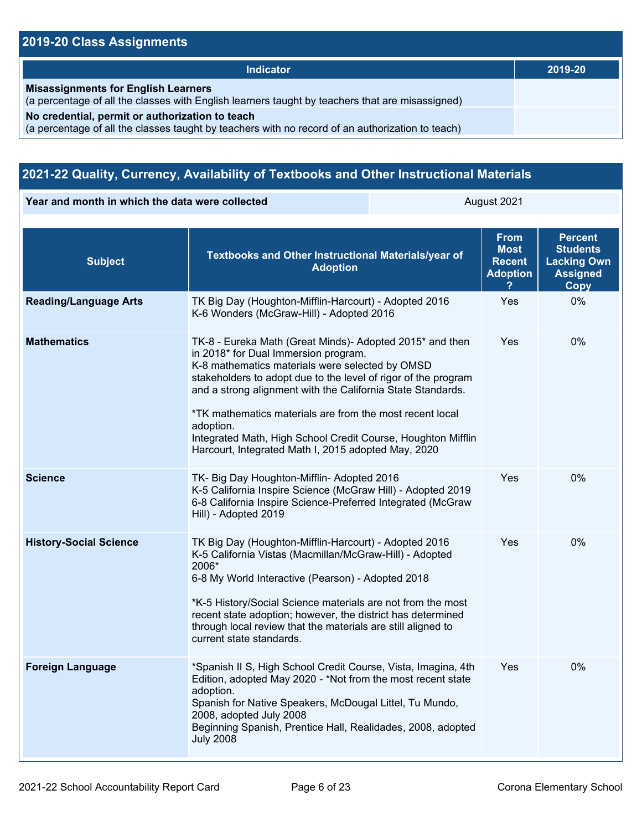## **2019-20 Class Assignments**

| <b>Indicator</b>                                                                                                                                    | 2019-20 |
|-----------------------------------------------------------------------------------------------------------------------------------------------------|---------|
| <b>Misassignments for English Learners</b><br>(a percentage of all the classes with English learners taught by teachers that are misassigned)       |         |
| No credential, permit or authorization to teach<br>(a percentage of all the classes taught by teachers with no record of an authorization to teach) |         |

## **2021-22 Quality, Currency, Availability of Textbooks and Other Instructional Materials**

**Year and month in which the data were collected August 2021** August 2021

| <b>Subject</b>                | Textbooks and Other Instructional Materials/year of<br><b>Adoption</b>                                                                                                                                                                                                                                                                                                                                                                                                               | <b>From</b><br><b>Most</b><br><b>Recent</b><br><b>Adoption</b> | <b>Percent</b><br><b>Students</b><br><b>Lacking Own</b><br><b>Assigned</b><br>Copy |
|-------------------------------|--------------------------------------------------------------------------------------------------------------------------------------------------------------------------------------------------------------------------------------------------------------------------------------------------------------------------------------------------------------------------------------------------------------------------------------------------------------------------------------|----------------------------------------------------------------|------------------------------------------------------------------------------------|
| <b>Reading/Language Arts</b>  | TK Big Day (Houghton-Mifflin-Harcourt) - Adopted 2016<br>K-6 Wonders (McGraw-Hill) - Adopted 2016                                                                                                                                                                                                                                                                                                                                                                                    | Yes                                                            | 0%                                                                                 |
| <b>Mathematics</b>            | TK-8 - Eureka Math (Great Minds)- Adopted 2015* and then<br>in 2018* for Dual Immersion program.<br>K-8 mathematics materials were selected by OMSD<br>stakeholders to adopt due to the level of rigor of the program<br>and a strong alignment with the California State Standards.<br>*TK mathematics materials are from the most recent local<br>adoption.<br>Integrated Math, High School Credit Course, Houghton Mifflin<br>Harcourt, Integrated Math I, 2015 adopted May, 2020 | Yes                                                            | 0%                                                                                 |
| <b>Science</b>                | TK- Big Day Houghton-Mifflin- Adopted 2016<br>K-5 California Inspire Science (McGraw Hill) - Adopted 2019<br>6-8 California Inspire Science-Preferred Integrated (McGraw<br>Hill) - Adopted 2019                                                                                                                                                                                                                                                                                     | Yes                                                            | 0%                                                                                 |
| <b>History-Social Science</b> | TK Big Day (Houghton-Mifflin-Harcourt) - Adopted 2016<br>K-5 California Vistas (Macmillan/McGraw-Hill) - Adopted<br>2006*<br>6-8 My World Interactive (Pearson) - Adopted 2018<br>*K-5 History/Social Science materials are not from the most<br>recent state adoption; however, the district has determined<br>through local review that the materials are still aligned to<br>current state standards.                                                                             | Yes                                                            | 0%                                                                                 |
| <b>Foreign Language</b>       | *Spanish II S, High School Credit Course, Vista, Imagina, 4th<br>Edition, adopted May 2020 - *Not from the most recent state<br>adoption.<br>Spanish for Native Speakers, McDougal Littel, Tu Mundo,<br>2008, adopted July 2008<br>Beginning Spanish, Prentice Hall, Realidades, 2008, adopted<br><b>July 2008</b>                                                                                                                                                                   | Yes                                                            | 0%                                                                                 |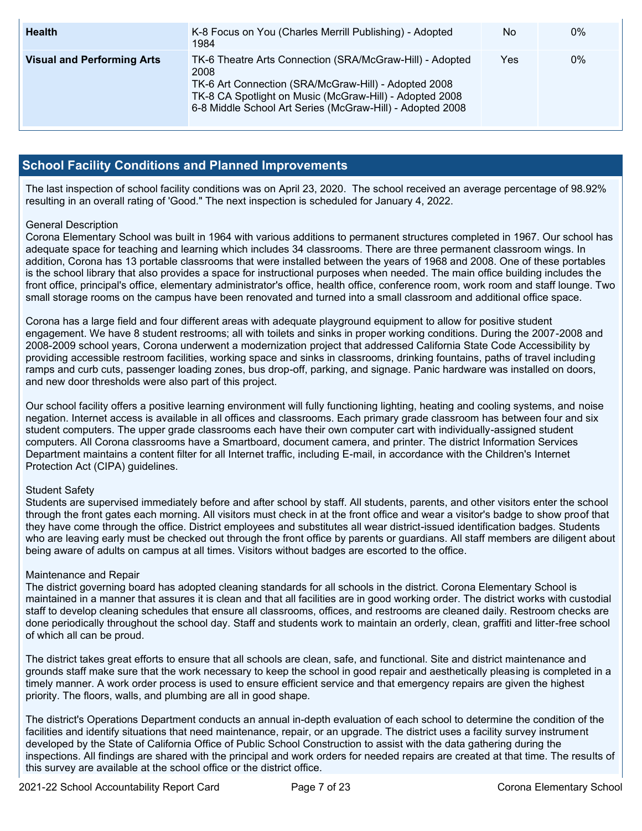| <b>Health</b>                     | K-8 Focus on You (Charles Merrill Publishing) - Adopted<br>1984                                                                                                                                                                                  | No  | $0\%$ |
|-----------------------------------|--------------------------------------------------------------------------------------------------------------------------------------------------------------------------------------------------------------------------------------------------|-----|-------|
| <b>Visual and Performing Arts</b> | TK-6 Theatre Arts Connection (SRA/McGraw-Hill) - Adopted<br>2008<br>TK-6 Art Connection (SRA/McGraw-Hill) - Adopted 2008<br>TK-8 CA Spotlight on Music (McGraw-Hill) - Adopted 2008<br>6-8 Middle School Art Series (McGraw-Hill) - Adopted 2008 | Yes | 0%    |

### **School Facility Conditions and Planned Improvements**

The last inspection of school facility conditions was on April 23, 2020. The school received an average percentage of 98.92% resulting in an overall rating of 'Good." The next inspection is scheduled for January 4, 2022.

### General Description

Corona Elementary School was built in 1964 with various additions to permanent structures completed in 1967. Our school has adequate space for teaching and learning which includes 34 classrooms. There are three permanent classroom wings. In addition, Corona has 13 portable classrooms that were installed between the years of 1968 and 2008. One of these portables is the school library that also provides a space for instructional purposes when needed. The main office building includes the front office, principal's office, elementary administrator's office, health office, conference room, work room and staff lounge. Two small storage rooms on the campus have been renovated and turned into a small classroom and additional office space.

Corona has a large field and four different areas with adequate playground equipment to allow for positive student engagement. We have 8 student restrooms; all with toilets and sinks in proper working conditions. During the 2007-2008 and 2008-2009 school years, Corona underwent a modernization project that addressed California State Code Accessibility by providing accessible restroom facilities, working space and sinks in classrooms, drinking fountains, paths of travel including ramps and curb cuts, passenger loading zones, bus drop-off, parking, and signage. Panic hardware was installed on doors, and new door thresholds were also part of this project.

Our school facility offers a positive learning environment will fully functioning lighting, heating and cooling systems, and noise negation. Internet access is available in all offices and classrooms. Each primary grade classroom has between four and six student computers. The upper grade classrooms each have their own computer cart with individually-assigned student computers. All Corona classrooms have a Smartboard, document camera, and printer. The district Information Services Department maintains a content filter for all Internet traffic, including E-mail, in accordance with the Children's Internet Protection Act (CIPA) guidelines.

### Student Safety

Students are supervised immediately before and after school by staff. All students, parents, and other visitors enter the school through the front gates each morning. All visitors must check in at the front office and wear a visitor's badge to show proof that they have come through the office. District employees and substitutes all wear district-issued identification badges. Students who are leaving early must be checked out through the front office by parents or guardians. All staff members are diligent about being aware of adults on campus at all times. Visitors without badges are escorted to the office.

### Maintenance and Repair

The district governing board has adopted cleaning standards for all schools in the district. Corona Elementary School is maintained in a manner that assures it is clean and that all facilities are in good working order. The district works with custodial staff to develop cleaning schedules that ensure all classrooms, offices, and restrooms are cleaned daily. Restroom checks are done periodically throughout the school day. Staff and students work to maintain an orderly, clean, graffiti and litter-free school of which all can be proud.

The district takes great efforts to ensure that all schools are clean, safe, and functional. Site and district maintenance and grounds staff make sure that the work necessary to keep the school in good repair and aesthetically pleasing is completed in a timely manner. A work order process is used to ensure efficient service and that emergency repairs are given the highest priority. The floors, walls, and plumbing are all in good shape.

The district's Operations Department conducts an annual in-depth evaluation of each school to determine the condition of the facilities and identify situations that need maintenance, repair, or an upgrade. The district uses a facility survey instrument developed by the State of California Office of Public School Construction to assist with the data gathering during the inspections. All findings are shared with the principal and work orders for needed repairs are created at that time. The results of this survey are available at the school office or the district office.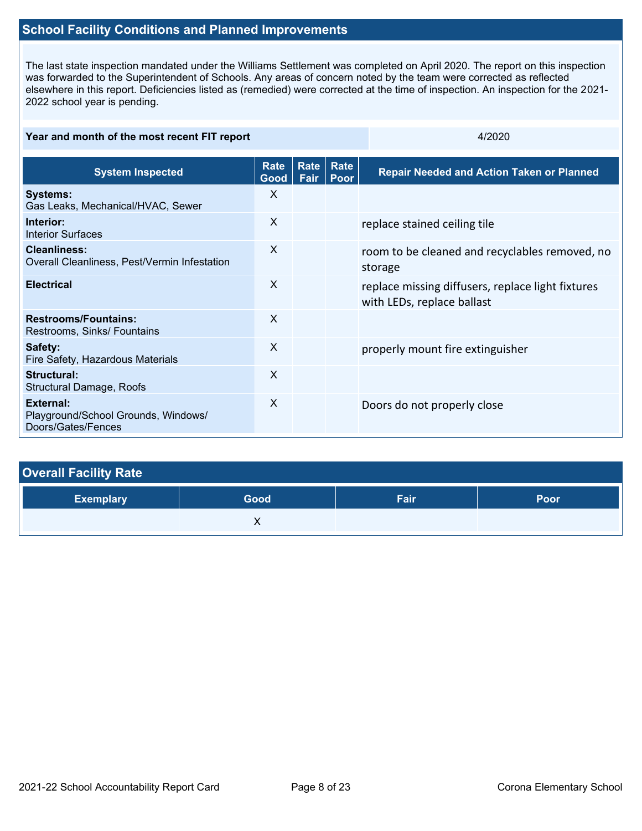## **School Facility Conditions and Planned Improvements**

The last state inspection mandated under the Williams Settlement was completed on April 2020. The report on this inspection was forwarded to the Superintendent of Schools. Any areas of concern noted by the team were corrected as reflected elsewhere in this report. Deficiencies listed as (remedied) were corrected at the time of inspection. An inspection for the 2021- 2022 school year is pending.

| Year and month of the most recent FIT report                           |                     |              |              | 4/2020                                                                          |  |
|------------------------------------------------------------------------|---------------------|--------------|--------------|---------------------------------------------------------------------------------|--|
| <b>System Inspected</b>                                                | <b>Rate</b><br>Good | Rate<br>Fair | Rate<br>Poor | <b>Repair Needed and Action Taken or Planned</b>                                |  |
| <b>Systems:</b><br>Gas Leaks, Mechanical/HVAC, Sewer                   | X                   |              |              |                                                                                 |  |
| Interior:<br><b>Interior Surfaces</b>                                  | X                   |              |              | replace stained ceiling tile                                                    |  |
| <b>Cleanliness:</b><br>Overall Cleanliness, Pest/Vermin Infestation    | X                   |              |              | room to be cleaned and recyclables removed, no<br>storage                       |  |
| <b>Electrical</b>                                                      | $\mathsf{X}$        |              |              | replace missing diffusers, replace light fixtures<br>with LEDs, replace ballast |  |
| <b>Restrooms/Fountains:</b><br>Restrooms, Sinks/ Fountains             | $\mathsf{X}$        |              |              |                                                                                 |  |
| Safety:<br>Fire Safety, Hazardous Materials                            | X                   |              |              | properly mount fire extinguisher                                                |  |
| <b>Structural:</b><br><b>Structural Damage, Roofs</b>                  | X                   |              |              |                                                                                 |  |
| External:<br>Playground/School Grounds, Windows/<br>Doors/Gates/Fences | X                   |              |              | Doors do not properly close                                                     |  |

| <b>Overall Facility Rate</b> |      |      |      |  |  |  |
|------------------------------|------|------|------|--|--|--|
| <b>Exemplary</b>             | Good | Fair | Poor |  |  |  |
|                              |      |      |      |  |  |  |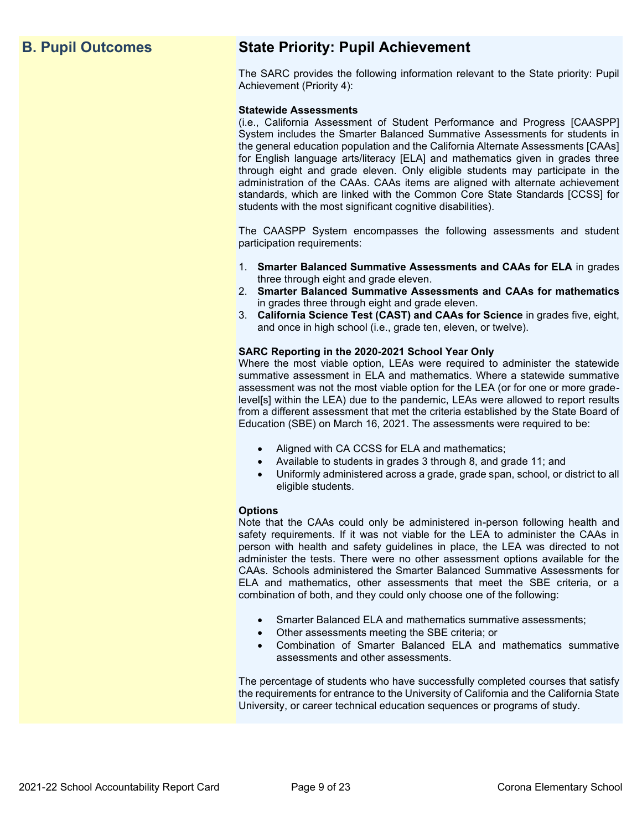## **B. Pupil Outcomes State Priority: Pupil Achievement**

The SARC provides the following information relevant to the State priority: Pupil Achievement (Priority 4):

### **Statewide Assessments**

(i.e., California Assessment of Student Performance and Progress [CAASPP] System includes the Smarter Balanced Summative Assessments for students in the general education population and the California Alternate Assessments [CAAs] for English language arts/literacy [ELA] and mathematics given in grades three through eight and grade eleven. Only eligible students may participate in the administration of the CAAs. CAAs items are aligned with alternate achievement standards, which are linked with the Common Core State Standards [CCSS] for students with the most significant cognitive disabilities).

The CAASPP System encompasses the following assessments and student participation requirements:

- 1. **Smarter Balanced Summative Assessments and CAAs for ELA** in grades three through eight and grade eleven.
- 2. **Smarter Balanced Summative Assessments and CAAs for mathematics** in grades three through eight and grade eleven.
- 3. **California Science Test (CAST) and CAAs for Science** in grades five, eight, and once in high school (i.e., grade ten, eleven, or twelve).

### **SARC Reporting in the 2020-2021 School Year Only**

Where the most viable option, LEAs were required to administer the statewide summative assessment in ELA and mathematics. Where a statewide summative assessment was not the most viable option for the LEA (or for one or more gradelevel[s] within the LEA) due to the pandemic, LEAs were allowed to report results from a different assessment that met the criteria established by the State Board of Education (SBE) on March 16, 2021. The assessments were required to be:

- Aligned with CA CCSS for ELA and mathematics;
- Available to students in grades 3 through 8, and grade 11; and
- Uniformly administered across a grade, grade span, school, or district to all eligible students.

### **Options**

Note that the CAAs could only be administered in-person following health and safety requirements. If it was not viable for the LEA to administer the CAAs in person with health and safety guidelines in place, the LEA was directed to not administer the tests. There were no other assessment options available for the CAAs. Schools administered the Smarter Balanced Summative Assessments for ELA and mathematics, other assessments that meet the SBE criteria, or a combination of both, and they could only choose one of the following:

- Smarter Balanced ELA and mathematics summative assessments;
- Other assessments meeting the SBE criteria; or
- Combination of Smarter Balanced ELA and mathematics summative assessments and other assessments.

The percentage of students who have successfully completed courses that satisfy the requirements for entrance to the University of California and the California State University, or career technical education sequences or programs of study.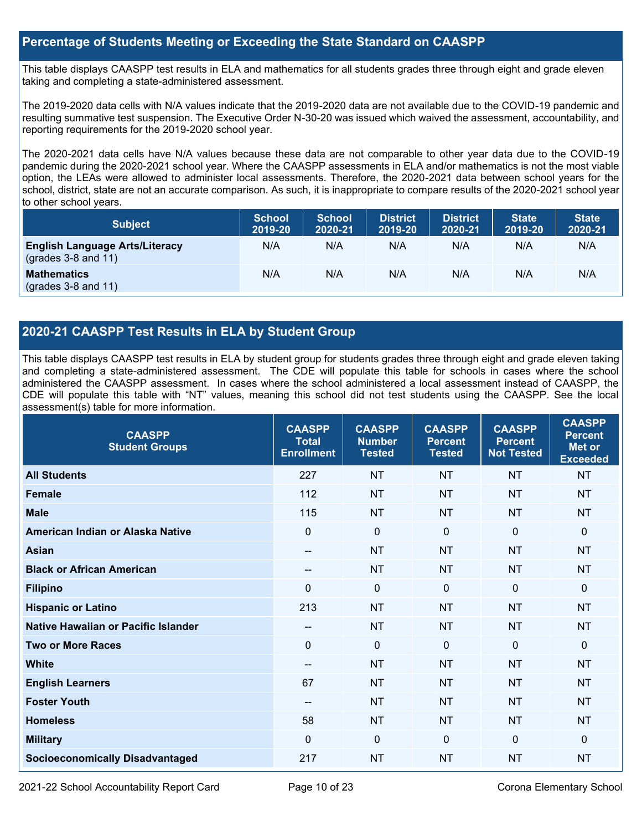### **Percentage of Students Meeting or Exceeding the State Standard on CAASPP**

This table displays CAASPP test results in ELA and mathematics for all students grades three through eight and grade eleven taking and completing a state-administered assessment.

The 2019-2020 data cells with N/A values indicate that the 2019-2020 data are not available due to the COVID-19 pandemic and resulting summative test suspension. The Executive Order N-30-20 was issued which waived the assessment, accountability, and reporting requirements for the 2019-2020 school year.

The 2020-2021 data cells have N/A values because these data are not comparable to other year data due to the COVID-19 pandemic during the 2020-2021 school year. Where the CAASPP assessments in ELA and/or mathematics is not the most viable option, the LEAs were allowed to administer local assessments. Therefore, the 2020-2021 data between school years for the school, district, state are not an accurate comparison. As such, it is inappropriate to compare results of the 2020-2021 school year to other school years.

| <b>Subject</b>                                                       | <b>School</b><br>2019-20 | <b>School</b><br>2020-21 | <b>District</b><br>2019-20 | <b>District</b><br>2020-21 | <b>State</b><br>2019-20 | <b>State</b><br>2020-21 |
|----------------------------------------------------------------------|--------------------------|--------------------------|----------------------------|----------------------------|-------------------------|-------------------------|
| <b>English Language Arts/Literacy</b><br>$\left($ grades 3-8 and 11) | N/A                      | N/A                      | N/A                        | N/A                        | N/A                     | N/A                     |
| <b>Mathematics</b><br>$(grades 3-8 and 11)$                          | N/A                      | N/A                      | N/A                        | N/A                        | N/A                     | N/A                     |

## **2020-21 CAASPP Test Results in ELA by Student Group**

This table displays CAASPP test results in ELA by student group for students grades three through eight and grade eleven taking and completing a state-administered assessment. The CDE will populate this table for schools in cases where the school administered the CAASPP assessment. In cases where the school administered a local assessment instead of CAASPP, the CDE will populate this table with "NT" values, meaning this school did not test students using the CAASPP. See the local assessment(s) table for more information.

| <b>CAASPP</b><br><b>Student Groups</b> | <b>CAASPP</b><br><b>Total</b><br><b>Enrollment</b> | <b>CAASPP</b><br><b>Number</b><br><b>Tested</b> | <b>CAASPP</b><br><b>Percent</b><br><b>Tested</b> | <b>CAASPP</b><br><b>Percent</b><br><b>Not Tested</b> | <b>CAASPP</b><br><b>Percent</b><br>Met or<br><b>Exceeded</b> |
|----------------------------------------|----------------------------------------------------|-------------------------------------------------|--------------------------------------------------|------------------------------------------------------|--------------------------------------------------------------|
| <b>All Students</b>                    | 227                                                | <b>NT</b>                                       | <b>NT</b>                                        | <b>NT</b>                                            | <b>NT</b>                                                    |
| <b>Female</b>                          | 112                                                | <b>NT</b>                                       | <b>NT</b>                                        | <b>NT</b>                                            | <b>NT</b>                                                    |
| <b>Male</b>                            | 115                                                | <b>NT</b>                                       | <b>NT</b>                                        | <b>NT</b>                                            | <b>NT</b>                                                    |
| American Indian or Alaska Native       | $\mathbf{0}$                                       | $\mathbf 0$                                     | $\mathbf{0}$                                     | $\Omega$                                             | $\Omega$                                                     |
| <b>Asian</b>                           | --                                                 | <b>NT</b>                                       | <b>NT</b>                                        | <b>NT</b>                                            | <b>NT</b>                                                    |
| <b>Black or African American</b>       | --                                                 | <b>NT</b>                                       | <b>NT</b>                                        | <b>NT</b>                                            | <b>NT</b>                                                    |
| <b>Filipino</b>                        | $\mathbf{0}$                                       | $\mathbf 0$                                     | $\mathbf 0$                                      | $\overline{0}$                                       | $\mathbf 0$                                                  |
| <b>Hispanic or Latino</b>              | 213                                                | <b>NT</b>                                       | <b>NT</b>                                        | <b>NT</b>                                            | <b>NT</b>                                                    |
| Native Hawaiian or Pacific Islander    | --                                                 | <b>NT</b>                                       | <b>NT</b>                                        | <b>NT</b>                                            | <b>NT</b>                                                    |
| <b>Two or More Races</b>               | $\mathbf{0}$                                       | $\mathbf 0$                                     | $\Omega$                                         | $\mathbf 0$                                          | 0                                                            |
| <b>White</b>                           | --                                                 | <b>NT</b>                                       | <b>NT</b>                                        | <b>NT</b>                                            | <b>NT</b>                                                    |
| <b>English Learners</b>                | 67                                                 | <b>NT</b>                                       | <b>NT</b>                                        | <b>NT</b>                                            | <b>NT</b>                                                    |
| <b>Foster Youth</b>                    | --                                                 | <b>NT</b>                                       | <b>NT</b>                                        | <b>NT</b>                                            | NT                                                           |
| <b>Homeless</b>                        | 58                                                 | <b>NT</b>                                       | <b>NT</b>                                        | <b>NT</b>                                            | <b>NT</b>                                                    |
| <b>Military</b>                        | $\mathbf{0}$                                       | $\mathbf 0$                                     | $\mathbf 0$                                      | $\Omega$                                             | $\mathbf{0}$                                                 |
| <b>Socioeconomically Disadvantaged</b> | 217                                                | <b>NT</b>                                       | <b>NT</b>                                        | <b>NT</b>                                            | <b>NT</b>                                                    |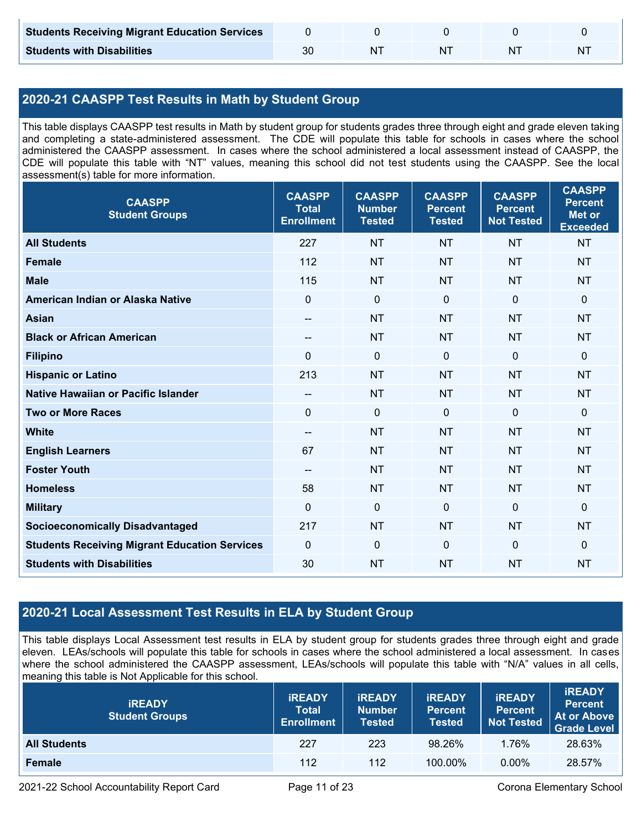| <b>Students Receiving Migrant Education Services</b> |    |  |   |
|------------------------------------------------------|----|--|---|
| <b>Students with Disabilities</b>                    | N٦ |  | N |

## **2020-21 CAASPP Test Results in Math by Student Group**

This table displays CAASPP test results in Math by student group for students grades three through eight and grade eleven taking and completing a state-administered assessment. The CDE will populate this table for schools in cases where the school administered the CAASPP assessment. In cases where the school administered a local assessment instead of CAASPP, the CDE will populate this table with "NT" values, meaning this school did not test students using the CAASPP. See the local assessment(s) table for more information.

| <b>CAASPP</b><br><b>Student Groups</b>               | <b>CAASPP</b><br><b>Total</b><br><b>Enrollment</b> | <b>CAASPP</b><br><b>Number</b><br><b>Tested</b> | <b>CAASPP</b><br><b>Percent</b><br><b>Tested</b> | <b>CAASPP</b><br><b>Percent</b><br><b>Not Tested</b> | <b>CAASPP</b><br><b>Percent</b><br><b>Met or</b><br><b>Exceeded</b> |
|------------------------------------------------------|----------------------------------------------------|-------------------------------------------------|--------------------------------------------------|------------------------------------------------------|---------------------------------------------------------------------|
| <b>All Students</b>                                  | 227                                                | <b>NT</b>                                       | <b>NT</b>                                        | <b>NT</b>                                            | <b>NT</b>                                                           |
| <b>Female</b>                                        | 112                                                | <b>NT</b>                                       | <b>NT</b>                                        | <b>NT</b>                                            | <b>NT</b>                                                           |
| <b>Male</b>                                          | 115                                                | <b>NT</b>                                       | <b>NT</b>                                        | <b>NT</b>                                            | <b>NT</b>                                                           |
| American Indian or Alaska Native                     | $\mathbf 0$                                        | $\mathbf 0$                                     | $\mathbf 0$                                      | $\mathbf 0$                                          | 0                                                                   |
| <b>Asian</b>                                         | $\overline{\phantom{a}}$                           | <b>NT</b>                                       | <b>NT</b>                                        | <b>NT</b>                                            | <b>NT</b>                                                           |
| <b>Black or African American</b>                     | $\overline{\phantom{a}}$                           | <b>NT</b>                                       | <b>NT</b>                                        | <b>NT</b>                                            | <b>NT</b>                                                           |
| <b>Filipino</b>                                      | $\Omega$                                           | $\mathbf 0$                                     | $\Omega$                                         | $\mathbf{0}$                                         | 0                                                                   |
| <b>Hispanic or Latino</b>                            | 213                                                | <b>NT</b>                                       | <b>NT</b>                                        | <b>NT</b>                                            | <b>NT</b>                                                           |
| <b>Native Hawaiian or Pacific Islander</b>           | $-$                                                | <b>NT</b>                                       | <b>NT</b>                                        | <b>NT</b>                                            | <b>NT</b>                                                           |
| <b>Two or More Races</b>                             | $\mathbf 0$                                        | $\pmb{0}$                                       | $\mathbf 0$                                      | $\overline{0}$                                       | 0                                                                   |
| <b>White</b>                                         | $\overline{\phantom{a}}$                           | <b>NT</b>                                       | <b>NT</b>                                        | <b>NT</b>                                            | <b>NT</b>                                                           |
| <b>English Learners</b>                              | 67                                                 | <b>NT</b>                                       | <b>NT</b>                                        | <b>NT</b>                                            | <b>NT</b>                                                           |
| <b>Foster Youth</b>                                  | $-$                                                | <b>NT</b>                                       | <b>NT</b>                                        | <b>NT</b>                                            | <b>NT</b>                                                           |
| <b>Homeless</b>                                      | 58                                                 | <b>NT</b>                                       | <b>NT</b>                                        | <b>NT</b>                                            | <b>NT</b>                                                           |
| <b>Military</b>                                      | $\mathbf 0$                                        | $\pmb{0}$                                       | $\mathbf 0$                                      | $\mathbf 0$                                          | 0                                                                   |
| <b>Socioeconomically Disadvantaged</b>               | 217                                                | <b>NT</b>                                       | <b>NT</b>                                        | <b>NT</b>                                            | <b>NT</b>                                                           |
| <b>Students Receiving Migrant Education Services</b> | $\mathbf 0$                                        | $\mathbf 0$                                     | $\mathbf 0$                                      | $\mathbf 0$                                          | 0                                                                   |
| <b>Students with Disabilities</b>                    | 30                                                 | <b>NT</b>                                       | <b>NT</b>                                        | <b>NT</b>                                            | <b>NT</b>                                                           |

## **2020-21 Local Assessment Test Results in ELA by Student Group**

This table displays Local Assessment test results in ELA by student group for students grades three through eight and grade eleven. LEAs/schools will populate this table for schools in cases where the school administered a local assessment. In cases where the school administered the CAASPP assessment, LEAs/schools will populate this table with "N/A" values in all cells, meaning this table is Not Applicable for this school.

| <b>IREADY</b><br><b>Student Groups</b> | <b>IREADY</b><br><b>Total</b><br><b>Enrollment</b> | <b>IREADY</b><br><b>Number</b><br><b>Tested</b> | <b>IREADY</b><br><b>Percent</b><br><b>Tested</b> | <b>IREADY</b><br><b>Percent</b><br><b>Not Tested</b> | <b>IREADY</b><br><b>Percent</b><br>At or Above<br><b>Grade Level</b> |
|----------------------------------------|----------------------------------------------------|-------------------------------------------------|--------------------------------------------------|------------------------------------------------------|----------------------------------------------------------------------|
| <b>All Students</b>                    | 227                                                | 223                                             | 98.26%                                           | 1.76%                                                | 28.63%                                                               |
| Female                                 | 112                                                | 112                                             | 100.00%                                          | $0.00\%$                                             | 28.57%                                                               |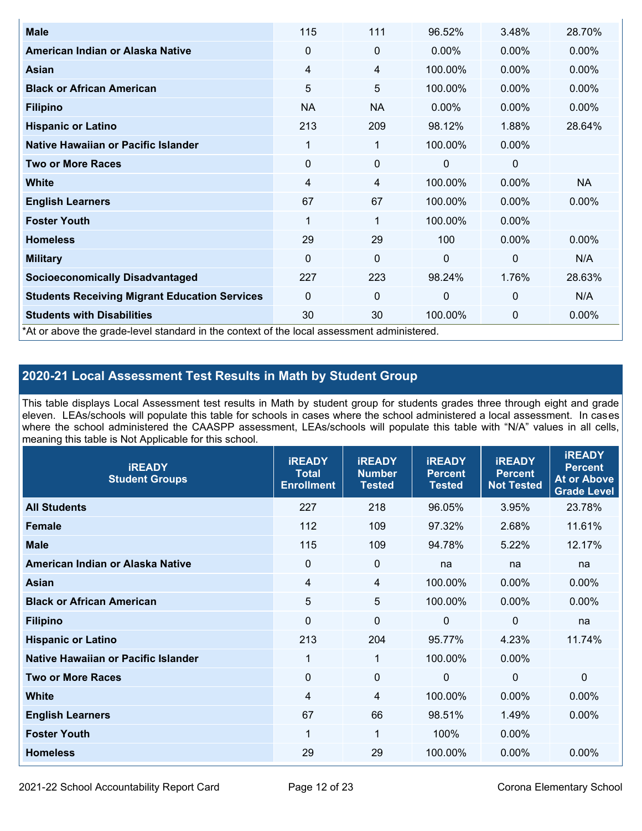| <b>Male</b>                                                                                | 115            | 111         | 96.52%       | 3.48%          | 28.70%    |
|--------------------------------------------------------------------------------------------|----------------|-------------|--------------|----------------|-----------|
| American Indian or Alaska Native                                                           | $\Omega$       | 0           | $0.00\%$     | $0.00\%$       | $0.00\%$  |
| <b>Asian</b>                                                                               | 4              | 4           | 100.00%      | $0.00\%$       | 0.00%     |
| <b>Black or African American</b>                                                           | 5              | 5           | 100.00%      | $0.00\%$       | $0.00\%$  |
| <b>Filipino</b>                                                                            | <b>NA</b>      | <b>NA</b>   | $0.00\%$     | 0.00%          | 0.00%     |
| <b>Hispanic or Latino</b>                                                                  | 213            | 209         | 98.12%       | 1.88%          | 28.64%    |
| Native Hawaiian or Pacific Islander                                                        | 1              | 1           | 100.00%      | $0.00\%$       |           |
| <b>Two or More Races</b>                                                                   | $\mathbf 0$    | 0           | 0            | 0              |           |
| White                                                                                      | $\overline{4}$ | 4           | 100.00%      | $0.00\%$       | <b>NA</b> |
| <b>English Learners</b>                                                                    | 67             | 67          | 100.00%      | $0.00\%$       | $0.00\%$  |
| <b>Foster Youth</b>                                                                        | 1              | 1           | 100.00%      | $0.00\%$       |           |
| <b>Homeless</b>                                                                            | 29             | 29          | 100          | 0.00%          | $0.00\%$  |
| <b>Military</b>                                                                            | $\Omega$       | $\mathbf 0$ | $\mathbf{0}$ | $\overline{0}$ | N/A       |
| <b>Socioeconomically Disadvantaged</b>                                                     | 227            | 223         | 98.24%       | 1.76%          | 28.63%    |
| <b>Students Receiving Migrant Education Services</b>                                       | $\Omega$       | 0           | 0            | $\mathbf{0}$   | N/A       |
| <b>Students with Disabilities</b>                                                          | 30             | 30          | 100.00%      | 0              | 0.00%     |
| *At or above the grade-level standard in the context of the local assessment administered. |                |             |              |                |           |

## **2020-21 Local Assessment Test Results in Math by Student Group**

This table displays Local Assessment test results in Math by student group for students grades three through eight and grade eleven. LEAs/schools will populate this table for schools in cases where the school administered a local assessment. In cases where the school administered the CAASPP assessment, LEAs/schools will populate this table with "N/A" values in all cells, meaning this table is Not Applicable for this school.

| <b>iREADY</b><br><b>Student Groups</b> | <b>iREADY</b><br><b>Total</b><br><b>Enrollment</b> | <b>iREADY</b><br><b>Number</b><br><b>Tested</b> | <b>iREADY</b><br><b>Percent</b><br><b>Tested</b> | <b>IREADY</b><br><b>Percent</b><br><b>Not Tested</b> | <b>IREADY</b><br><b>Percent</b><br><b>At or Above</b><br><b>Grade Level</b> |
|----------------------------------------|----------------------------------------------------|-------------------------------------------------|--------------------------------------------------|------------------------------------------------------|-----------------------------------------------------------------------------|
| <b>All Students</b>                    | 227                                                | 218                                             | 96.05%                                           | 3.95%                                                | 23.78%                                                                      |
| <b>Female</b>                          | 112                                                | 109                                             | 97.32%                                           | 2.68%                                                | 11.61%                                                                      |
| <b>Male</b>                            | 115                                                | 109                                             | 94.78%                                           | 5.22%                                                | 12.17%                                                                      |
| American Indian or Alaska Native       | $\mathbf 0$                                        | $\mathbf 0$                                     | na                                               | na                                                   | na                                                                          |
| Asian                                  | $\overline{4}$                                     | $\overline{4}$                                  | 100.00%                                          | 0.00%                                                | 0.00%                                                                       |
| <b>Black or African American</b>       | 5                                                  | 5                                               | 100.00%                                          | $0.00\%$                                             | 0.00%                                                                       |
| <b>Filipino</b>                        | $\Omega$                                           | $\mathbf 0$                                     | $\Omega$                                         | $\mathbf 0$                                          | na                                                                          |
| <b>Hispanic or Latino</b>              | 213                                                | 204                                             | 95.77%                                           | 4.23%                                                | 11.74%                                                                      |
| Native Hawaiian or Pacific Islander    | 1                                                  | $\mathbf 1$                                     | 100.00%                                          | 0.00%                                                |                                                                             |
| <b>Two or More Races</b>               | $\mathbf{0}$                                       | $\mathbf 0$                                     | $\Omega$                                         | $\mathbf{0}$                                         | $\mathbf{0}$                                                                |
| <b>White</b>                           | $\overline{4}$                                     | 4                                               | 100.00%                                          | $0.00\%$                                             | 0.00%                                                                       |
| <b>English Learners</b>                | 67                                                 | 66                                              | 98.51%                                           | 1.49%                                                | 0.00%                                                                       |
| <b>Foster Youth</b>                    | $\mathbf{1}$                                       | 1                                               | 100%                                             | 0.00%                                                |                                                                             |
| <b>Homeless</b>                        | 29                                                 | 29                                              | 100.00%                                          | 0.00%                                                | 0.00%                                                                       |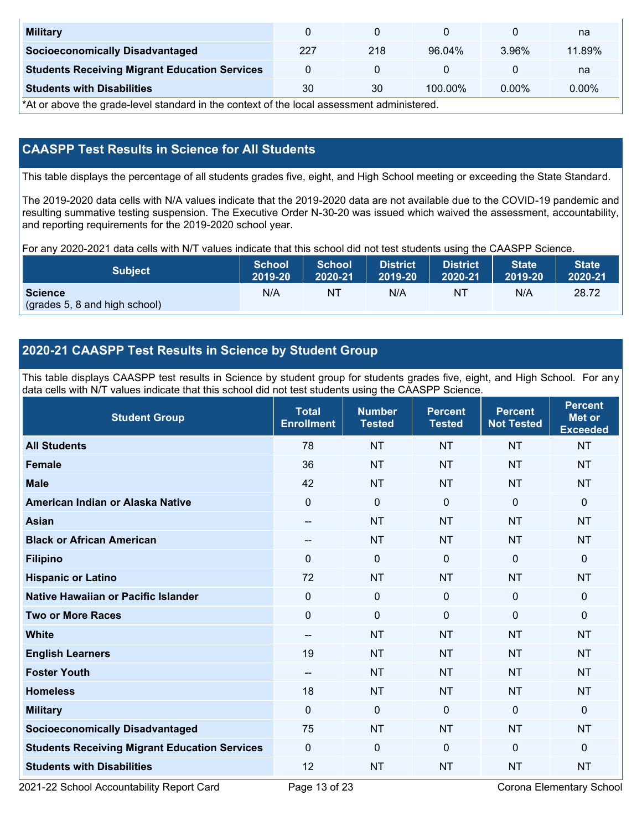| <b>Military</b>                                      |     |     |         |          | na       |
|------------------------------------------------------|-----|-----|---------|----------|----------|
| <b>Socioeconomically Disadvantaged</b>               | 227 | 218 | 96.04%  | 3.96%    | 11.89%   |
| <b>Students Receiving Migrant Education Services</b> |     |     |         |          | na       |
| <b>Students with Disabilities</b>                    | 30  | 30  | 100.00% | $0.00\%$ | $0.00\%$ |

\*At or above the grade-level standard in the context of the local assessment administered.

## **CAASPP Test Results in Science for All Students**

This table displays the percentage of all students grades five, eight, and High School meeting or exceeding the State Standard.

The 2019-2020 data cells with N/A values indicate that the 2019-2020 data are not available due to the COVID-19 pandemic and resulting summative testing suspension. The Executive Order N-30-20 was issued which waived the assessment, accountability, and reporting requirements for the 2019-2020 school year.

For any 2020-2021 data cells with N/T values indicate that this school did not test students using the CAASPP Science.

| <b>Subject</b>                                  | <b>School</b> | <b>School</b> | <b>District</b> | <b>District</b> | <b>State</b> | <b>State</b> |
|-------------------------------------------------|---------------|---------------|-----------------|-----------------|--------------|--------------|
|                                                 | 2019-20       | 2020-21       | 2019-20         | 2020-21         | 2019-20      | 2020-21      |
| <b>Science</b><br>(grades 5, 8 and high school) | N/A           | ΝT            | N/A             | N1              | N/A          | 28.72        |

## **2020-21 CAASPP Test Results in Science by Student Group**

This table displays CAASPP test results in Science by student group for students grades five, eight, and High School. For any data cells with N/T values indicate that this school did not test students using the CAASPP Science.

| <b>Student Group</b>                                 | <b>Total</b><br><b>Enrollment</b> | <b>Number</b><br><b>Tested</b> | <b>Percent</b><br><b>Tested</b> | <b>Percent</b><br><b>Not Tested</b> | <b>Percent</b><br><b>Met or</b><br><b>Exceeded</b> |
|------------------------------------------------------|-----------------------------------|--------------------------------|---------------------------------|-------------------------------------|----------------------------------------------------|
| <b>All Students</b>                                  | 78                                | <b>NT</b>                      | <b>NT</b>                       | <b>NT</b>                           | <b>NT</b>                                          |
| <b>Female</b>                                        | 36                                | <b>NT</b>                      | <b>NT</b>                       | <b>NT</b>                           | <b>NT</b>                                          |
| <b>Male</b>                                          | 42                                | <b>NT</b>                      | <b>NT</b>                       | <b>NT</b>                           | <b>NT</b>                                          |
| American Indian or Alaska Native                     | $\mathbf 0$                       | $\pmb{0}$                      | $\mathbf 0$                     | $\overline{0}$                      | 0                                                  |
| <b>Asian</b>                                         | $\qquad \qquad -$                 | <b>NT</b>                      | <b>NT</b>                       | <b>NT</b>                           | <b>NT</b>                                          |
| <b>Black or African American</b>                     | $\overline{\phantom{a}}$          | <b>NT</b>                      | <b>NT</b>                       | <b>NT</b>                           | <b>NT</b>                                          |
| <b>Filipino</b>                                      | $\mathbf{0}$                      | $\boldsymbol{0}$               | $\mathbf 0$                     | $\mathbf 0$                         | 0                                                  |
| <b>Hispanic or Latino</b>                            | 72                                | <b>NT</b>                      | <b>NT</b>                       | <b>NT</b>                           | <b>NT</b>                                          |
| <b>Native Hawaiian or Pacific Islander</b>           | $\mathbf{0}$                      | $\mathbf 0$                    | $\mathbf{0}$                    | $\mathbf{0}$                        | 0                                                  |
| <b>Two or More Races</b>                             | $\Omega$                          | $\mathbf 0$                    | $\mathbf{0}$                    | $\mathbf{0}$                        | 0                                                  |
| <b>White</b>                                         | $\qquad \qquad -$                 | <b>NT</b>                      | <b>NT</b>                       | <b>NT</b>                           | <b>NT</b>                                          |
| <b>English Learners</b>                              | 19                                | <b>NT</b>                      | <b>NT</b>                       | <b>NT</b>                           | <b>NT</b>                                          |
| <b>Foster Youth</b>                                  | $\overline{\phantom{a}}$          | <b>NT</b>                      | <b>NT</b>                       | <b>NT</b>                           | <b>NT</b>                                          |
| <b>Homeless</b>                                      | 18                                | <b>NT</b>                      | <b>NT</b>                       | <b>NT</b>                           | <b>NT</b>                                          |
| <b>Military</b>                                      | $\mathbf 0$                       | $\mathbf 0$                    | $\mathbf 0$                     | $\mathbf 0$                         | 0                                                  |
| <b>Socioeconomically Disadvantaged</b>               | 75                                | <b>NT</b>                      | <b>NT</b>                       | <b>NT</b>                           | <b>NT</b>                                          |
| <b>Students Receiving Migrant Education Services</b> | $\mathbf{0}$                      | $\mathbf 0$                    | $\mathbf 0$                     | $\mathbf{0}$                        | 0                                                  |
| <b>Students with Disabilities</b>                    | 12                                | <b>NT</b>                      | <b>NT</b>                       | <b>NT</b>                           | <b>NT</b>                                          |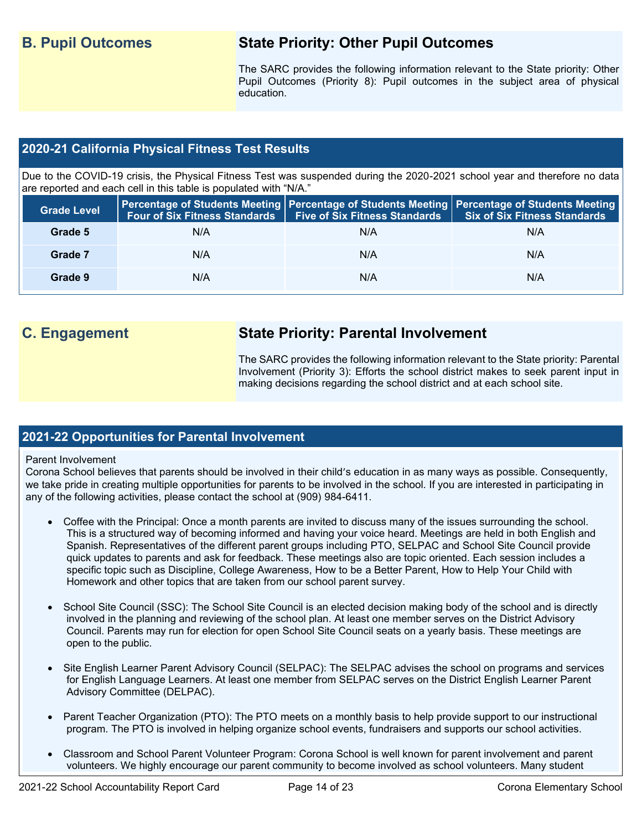## **B. Pupil Outcomes State Priority: Other Pupil Outcomes**

The SARC provides the following information relevant to the State priority: Other Pupil Outcomes (Priority 8): Pupil outcomes in the subject area of physical education.

## **2020-21 California Physical Fitness Test Results**

Due to the COVID-19 crisis, the Physical Fitness Test was suspended during the 2020-2021 school year and therefore no data are reported and each cell in this table is populated with "N/A."

| <b>Grade Level</b> |     | Four of Six Fitness Standards   Five of Six Fitness Standards | <b>Percentage of Students Meeting   Percentage of Students Meeting   Percentage of Students Meeting  </b><br><b>Six of Six Fitness Standards</b> |
|--------------------|-----|---------------------------------------------------------------|--------------------------------------------------------------------------------------------------------------------------------------------------|
| Grade 5            | N/A | N/A                                                           | N/A                                                                                                                                              |
| Grade 7            | N/A | N/A                                                           | N/A                                                                                                                                              |
| Grade 9            | N/A | N/A                                                           | N/A                                                                                                                                              |

## **C. Engagement State Priority: Parental Involvement**

The SARC provides the following information relevant to the State priority: Parental Involvement (Priority 3): Efforts the school district makes to seek parent input in making decisions regarding the school district and at each school site.

### **2021-22 Opportunities for Parental Involvement**

### Parent Involvement

Corona School believes that parents should be involved in their child's education in as many ways as possible. Consequently, we take pride in creating multiple opportunities for parents to be involved in the school. If you are interested in participating in any of the following activities, please contact the school at (909) 984-6411.

- Coffee with the Principal: Once a month parents are invited to discuss many of the issues surrounding the school. This is a structured way of becoming informed and having your voice heard. Meetings are held in both English and Spanish. Representatives of the different parent groups including PTO, SELPAC and School Site Council provide quick updates to parents and ask for feedback. These meetings also are topic oriented. Each session includes a specific topic such as Discipline, College Awareness, How to be a Better Parent, How to Help Your Child with Homework and other topics that are taken from our school parent survey.
- School Site Council (SSC): The School Site Council is an elected decision making body of the school and is directly involved in the planning and reviewing of the school plan. At least one member serves on the District Advisory Council. Parents may run for election for open School Site Council seats on a yearly basis. These meetings are open to the public.
- Site English Learner Parent Advisory Council (SELPAC): The SELPAC advises the school on programs and services for English Language Learners. At least one member from SELPAC serves on the District English Learner Parent Advisory Committee (DELPAC).
- Parent Teacher Organization (PTO): The PTO meets on a monthly basis to help provide support to our instructional program. The PTO is involved in helping organize school events, fundraisers and supports our school activities.
- Classroom and School Parent Volunteer Program: Corona School is well known for parent involvement and parent volunteers. We highly encourage our parent community to become involved as school volunteers. Many student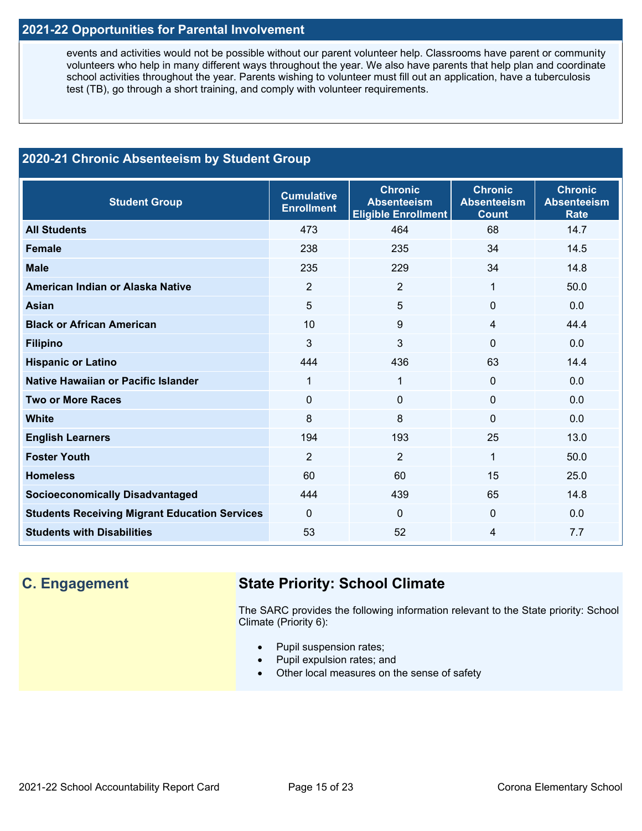## **2021-22 Opportunities for Parental Involvement**

events and activities would not be possible without our parent volunteer help. Classrooms have parent or community volunteers who help in many different ways throughout the year. We also have parents that help plan and coordinate school activities throughout the year. Parents wishing to volunteer must fill out an application, have a tuberculosis test (TB), go through a short training, and comply with volunteer requirements.

## **2020-21 Chronic Absenteeism by Student Group**

| <b>Student Group</b>                                 | <b>Cumulative</b><br><b>Enrollment</b> | <b>Chronic</b><br><b>Absenteeism</b><br><b>Eligible Enrollment</b> | <b>Chronic</b><br><b>Absenteeism</b><br><b>Count</b> | <b>Chronic</b><br><b>Absenteeism</b><br><b>Rate</b> |
|------------------------------------------------------|----------------------------------------|--------------------------------------------------------------------|------------------------------------------------------|-----------------------------------------------------|
| <b>All Students</b>                                  | 473                                    | 464                                                                | 68                                                   | 14.7                                                |
| <b>Female</b>                                        | 238                                    | 235                                                                | 34                                                   | 14.5                                                |
| <b>Male</b>                                          | 235                                    | 229                                                                | 34                                                   | 14.8                                                |
| American Indian or Alaska Native                     | $\overline{2}$                         | $\overline{2}$                                                     | 1                                                    | 50.0                                                |
| <b>Asian</b>                                         | $5\phantom{.0}$                        | 5                                                                  | $\mathbf 0$                                          | 0.0                                                 |
| <b>Black or African American</b>                     | 10                                     | 9                                                                  | $\overline{4}$                                       | 44.4                                                |
| <b>Filipino</b>                                      | $\mathfrak{B}$                         | 3                                                                  | 0                                                    | 0.0                                                 |
| <b>Hispanic or Latino</b>                            | 444                                    | 436                                                                | 63                                                   | 14.4                                                |
| Native Hawaiian or Pacific Islander                  | 1                                      | 1                                                                  | $\mathbf{0}$                                         | 0.0                                                 |
| <b>Two or More Races</b>                             | $\mathbf 0$                            | $\Omega$                                                           | $\mathbf{0}$                                         | 0.0                                                 |
| <b>White</b>                                         | 8                                      | 8                                                                  | $\Omega$                                             | 0.0                                                 |
| <b>English Learners</b>                              | 194                                    | 193                                                                | 25                                                   | 13.0                                                |
| <b>Foster Youth</b>                                  | 2                                      | $\overline{2}$                                                     | $\mathbf{1}$                                         | 50.0                                                |
| <b>Homeless</b>                                      | 60                                     | 60                                                                 | 15                                                   | 25.0                                                |
| <b>Socioeconomically Disadvantaged</b>               | 444                                    | 439                                                                | 65                                                   | 14.8                                                |
| <b>Students Receiving Migrant Education Services</b> | $\Omega$                               | $\Omega$                                                           | $\mathbf{0}$                                         | 0.0                                                 |
| <b>Students with Disabilities</b>                    | 53                                     | 52                                                                 | 4                                                    | 7.7                                                 |

## **C. Engagement State Priority: School Climate**

The SARC provides the following information relevant to the State priority: School Climate (Priority 6):

- Pupil suspension rates;
- Pupil expulsion rates; and
- Other local measures on the sense of safety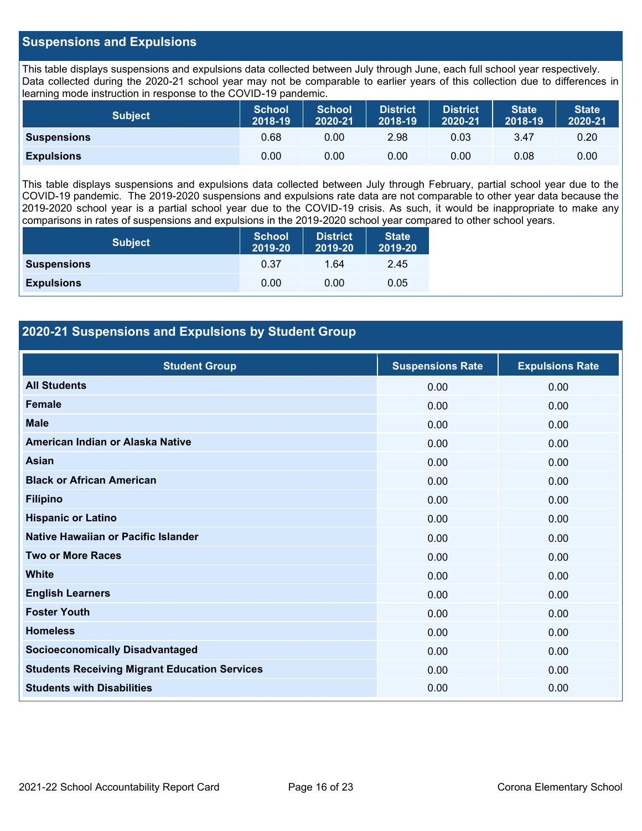### **Suspensions and Expulsions**

This table displays suspensions and expulsions data collected between July through June, each full school year respectively. Data collected during the 2020-21 school year may not be comparable to earlier years of this collection due to differences in learning mode instruction in response to the COVID-19 pandemic.

| <b>Subject</b>     | <b>School</b><br>2018-19 | <b>School</b><br>2020-21 | <b>District</b><br>2018-19 | <b>District</b><br>2020-21 | <b>State</b><br>2018-19 | <b>State</b><br>2020-21 |
|--------------------|--------------------------|--------------------------|----------------------------|----------------------------|-------------------------|-------------------------|
| <b>Suspensions</b> | 0.68                     | 0.00                     | 2.98                       | 0.03                       | 3.47                    | 0.20                    |
| <b>Expulsions</b>  | 0.00                     | 0.00                     | 0.00                       | 0.00                       | 0.08                    | 0.00                    |

This table displays suspensions and expulsions data collected between July through February, partial school year due to the COVID-19 pandemic. The 2019-2020 suspensions and expulsions rate data are not comparable to other year data because the 2019-2020 school year is a partial school year due to the COVID-19 crisis. As such, it would be inappropriate to make any comparisons in rates of suspensions and expulsions in the 2019-2020 school year compared to other school years.

| <b>Subject</b>     | <b>School</b><br>2019-20 | <b>District</b><br>2019-20 | <b>State</b><br>2019-20 |
|--------------------|--------------------------|----------------------------|-------------------------|
| <b>Suspensions</b> | 0.37                     | 1.64                       | 2.45                    |
| <b>Expulsions</b>  | 0.00                     | 0.00                       | 0.05                    |

### **2020-21 Suspensions and Expulsions by Student Group**

| <b>Student Group</b>                                 | <b>Suspensions Rate</b> | <b>Expulsions Rate</b> |
|------------------------------------------------------|-------------------------|------------------------|
| <b>All Students</b>                                  | 0.00                    | 0.00                   |
| <b>Female</b>                                        | 0.00                    | 0.00                   |
| <b>Male</b>                                          | 0.00                    | 0.00                   |
| American Indian or Alaska Native                     | 0.00                    | 0.00                   |
| <b>Asian</b>                                         | 0.00                    | 0.00                   |
| <b>Black or African American</b>                     | 0.00                    | 0.00                   |
| <b>Filipino</b>                                      | 0.00                    | 0.00                   |
| <b>Hispanic or Latino</b>                            | 0.00                    | 0.00                   |
| Native Hawaiian or Pacific Islander                  | 0.00                    | 0.00                   |
| <b>Two or More Races</b>                             | 0.00                    | 0.00                   |
| <b>White</b>                                         | 0.00                    | 0.00                   |
| <b>English Learners</b>                              | 0.00                    | 0.00                   |
| <b>Foster Youth</b>                                  | 0.00                    | 0.00                   |
| <b>Homeless</b>                                      | 0.00                    | 0.00                   |
| <b>Socioeconomically Disadvantaged</b>               | 0.00                    | 0.00                   |
| <b>Students Receiving Migrant Education Services</b> | 0.00                    | 0.00                   |
| <b>Students with Disabilities</b>                    | 0.00                    | 0.00                   |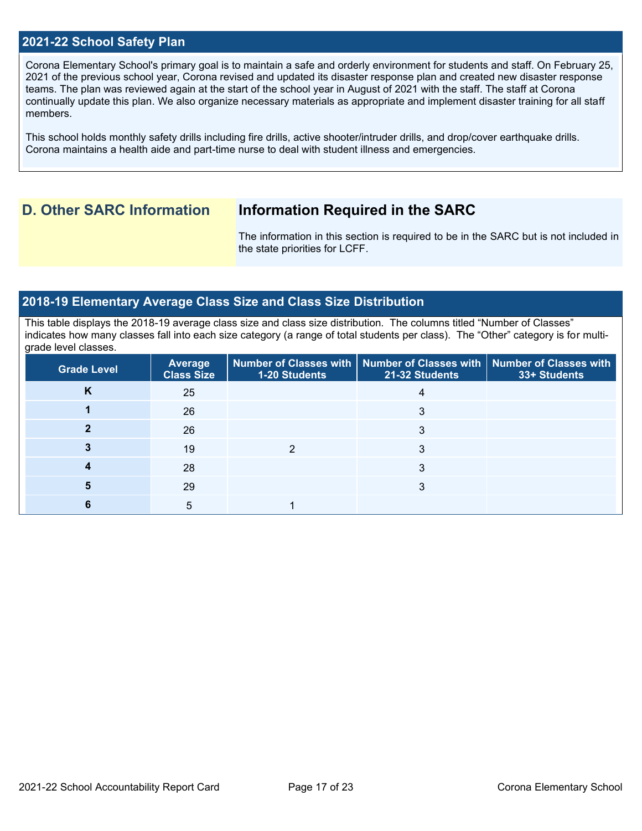### **2021-22 School Safety Plan**

Corona Elementary School's primary goal is to maintain a safe and orderly environment for students and staff. On February 25, 2021 of the previous school year, Corona revised and updated its disaster response plan and created new disaster response teams. The plan was reviewed again at the start of the school year in August of 2021 with the staff. The staff at Corona continually update this plan. We also organize necessary materials as appropriate and implement disaster training for all staff members.

This school holds monthly safety drills including fire drills, active shooter/intruder drills, and drop/cover earthquake drills. Corona maintains a health aide and part-time nurse to deal with student illness and emergencies.

## **D. Other SARC Information Information Required in the SARC**

The information in this section is required to be in the SARC but is not included in the state priorities for LCFF.

### **2018-19 Elementary Average Class Size and Class Size Distribution**

This table displays the 2018-19 average class size and class size distribution. The columns titled "Number of Classes" indicates how many classes fall into each size category (a range of total students per class). The "Other" category is for multigrade level classes.

| <b>Grade Level</b> | Average<br><b>Class Size</b> | 1-20 Students | Number of Classes with   Number of Classes with   Number of Classes with<br>21-32 Students | 33+ Students |
|--------------------|------------------------------|---------------|--------------------------------------------------------------------------------------------|--------------|
| n                  | 25                           |               |                                                                                            |              |
|                    | 26                           |               |                                                                                            |              |
|                    | 26                           |               |                                                                                            |              |
|                    | 19                           |               |                                                                                            |              |
|                    | 28                           |               | 3                                                                                          |              |
| b                  | 29                           |               |                                                                                            |              |
|                    | 5                            |               |                                                                                            |              |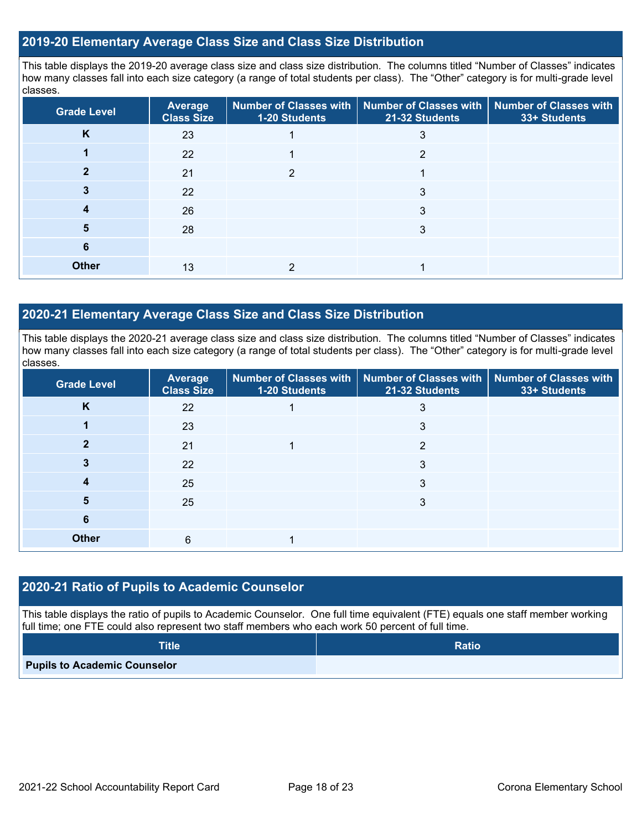### **2019-20 Elementary Average Class Size and Class Size Distribution**

This table displays the 2019-20 average class size and class size distribution. The columns titled "Number of Classes" indicates how many classes fall into each size category (a range of total students per class). The "Other" category is for multi-grade level classes.

| <b>Grade Level</b> | Average<br><b>Class Size</b> | 1-20 Students | Number of Classes with   Number of Classes with<br>21-32 Students | <b>Number of Classes with</b><br>33+ Students |
|--------------------|------------------------------|---------------|-------------------------------------------------------------------|-----------------------------------------------|
| K                  | 23                           |               | 3                                                                 |                                               |
|                    | 22                           |               | 2                                                                 |                                               |
|                    | 21                           | າ             |                                                                   |                                               |
|                    | 22                           |               | 3                                                                 |                                               |
|                    | 26                           |               | 3                                                                 |                                               |
| 5                  | 28                           |               | 3                                                                 |                                               |
| 6                  |                              |               |                                                                   |                                               |
| <b>Other</b>       | 13                           |               |                                                                   |                                               |

### **2020-21 Elementary Average Class Size and Class Size Distribution**

This table displays the 2020-21 average class size and class size distribution. The columns titled "Number of Classes" indicates how many classes fall into each size category (a range of total students per class). The "Other" category is for multi-grade level classes.

| <b>Grade Level</b> | <b>Average</b><br><b>Class Size</b> | 1-20 Students | Number of Classes with   Number of Classes with   Number of Classes with<br>21-32 Students | 33+ Students |
|--------------------|-------------------------------------|---------------|--------------------------------------------------------------------------------------------|--------------|
| K                  | 22                                  |               | 3                                                                                          |              |
|                    | 23                                  |               | 3                                                                                          |              |
| ּ״                 | 21                                  |               | っ                                                                                          |              |
|                    | 22                                  |               | 3                                                                                          |              |
|                    | 25                                  |               | 3                                                                                          |              |
| 5                  | 25                                  |               | 3                                                                                          |              |
| 6                  |                                     |               |                                                                                            |              |
| <b>Other</b>       | 6                                   |               |                                                                                            |              |

### **2020-21 Ratio of Pupils to Academic Counselor**

This table displays the ratio of pupils to Academic Counselor. One full time equivalent (FTE) equals one staff member working full time; one FTE could also represent two staff members who each work 50 percent of full time.

| <b>Title</b>                        | <b>Ratio</b> |
|-------------------------------------|--------------|
| <b>Pupils to Academic Counselor</b> |              |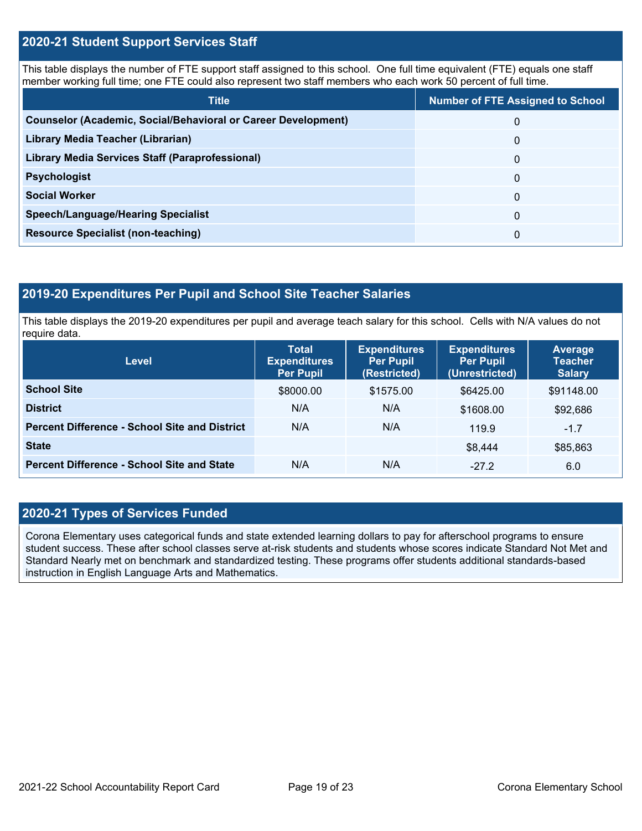### **2020-21 Student Support Services Staff**

This table displays the number of FTE support staff assigned to this school. One full time equivalent (FTE) equals one staff member working full time; one FTE could also represent two staff members who each work 50 percent of full time.

| <b>Title</b>                                                         | <b>Number of FTE Assigned to School</b> |
|----------------------------------------------------------------------|-----------------------------------------|
| <b>Counselor (Academic, Social/Behavioral or Career Development)</b> | 0                                       |
| Library Media Teacher (Librarian)                                    | 0                                       |
| Library Media Services Staff (Paraprofessional)                      | 0                                       |
| <b>Psychologist</b>                                                  | 0                                       |
| <b>Social Worker</b>                                                 | $\Omega$                                |
| <b>Speech/Language/Hearing Specialist</b>                            | 0                                       |
| <b>Resource Specialist (non-teaching)</b>                            | 0                                       |

### **2019-20 Expenditures Per Pupil and School Site Teacher Salaries**

This table displays the 2019-20 expenditures per pupil and average teach salary for this school. Cells with N/A values do not require data.

| Level                                                | <b>Total</b><br><b>Expenditures</b><br><b>Per Pupil</b> | <b>Expenditures</b><br><b>Per Pupil</b><br>(Restricted) | <b>Expenditures</b><br><b>Per Pupil</b><br>(Unrestricted) | <b>Average</b><br><b>Teacher</b><br><b>Salary</b> |
|------------------------------------------------------|---------------------------------------------------------|---------------------------------------------------------|-----------------------------------------------------------|---------------------------------------------------|
| <b>School Site</b>                                   | \$8000.00                                               | \$1575.00                                               | \$6425.00                                                 | \$91148.00                                        |
| <b>District</b>                                      | N/A                                                     | N/A                                                     | \$1608.00                                                 | \$92,686                                          |
| <b>Percent Difference - School Site and District</b> | N/A                                                     | N/A                                                     | 119.9                                                     | $-1.7$                                            |
| <b>State</b>                                         |                                                         |                                                         | \$8,444                                                   | \$85,863                                          |
| <b>Percent Difference - School Site and State</b>    | N/A                                                     | N/A                                                     | $-27.2$                                                   | 6.0                                               |

### **2020-21 Types of Services Funded**

Corona Elementary uses categorical funds and state extended learning dollars to pay for afterschool programs to ensure student success. These after school classes serve at-risk students and students whose scores indicate Standard Not Met and Standard Nearly met on benchmark and standardized testing. These programs offer students additional standards-based instruction in English Language Arts and Mathematics.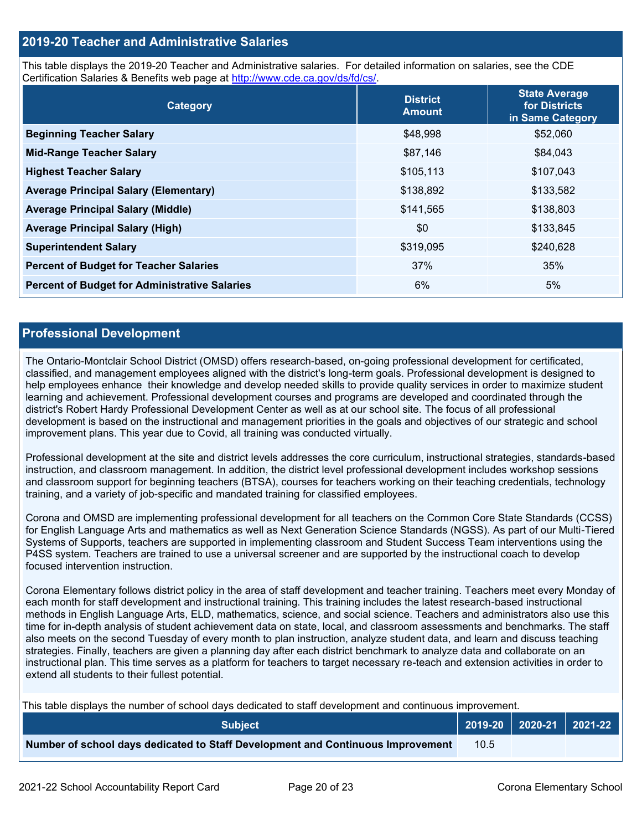### **2019-20 Teacher and Administrative Salaries**

This table displays the 2019-20 Teacher and Administrative salaries. For detailed information on salaries, see the CDE Certification Salaries & Benefits web page at [http://www.cde.ca.gov/ds/fd/cs/.](http://www.cde.ca.gov/ds/fd/cs/)

| Category                                             | <b>District</b><br><b>Amount</b> | <b>State Average</b><br>for Districts<br>in Same Category |
|------------------------------------------------------|----------------------------------|-----------------------------------------------------------|
| <b>Beginning Teacher Salary</b>                      | \$48,998                         | \$52,060                                                  |
| <b>Mid-Range Teacher Salary</b>                      | \$87,146                         | \$84,043                                                  |
| <b>Highest Teacher Salary</b>                        | \$105,113                        | \$107,043                                                 |
| <b>Average Principal Salary (Elementary)</b>         | \$138,892                        | \$133,582                                                 |
| <b>Average Principal Salary (Middle)</b>             | \$141,565                        | \$138,803                                                 |
| <b>Average Principal Salary (High)</b>               | \$0                              | \$133,845                                                 |
| <b>Superintendent Salary</b>                         | \$319,095                        | \$240,628                                                 |
| <b>Percent of Budget for Teacher Salaries</b>        | 37%                              | 35%                                                       |
| <b>Percent of Budget for Administrative Salaries</b> | 6%                               | 5%                                                        |

### **Professional Development**

The Ontario-Montclair School District (OMSD) offers research-based, on-going professional development for certificated, classified, and management employees aligned with the district's long-term goals. Professional development is designed to help employees enhance their knowledge and develop needed skills to provide quality services in order to maximize student learning and achievement. Professional development courses and programs are developed and coordinated through the district's Robert Hardy Professional Development Center as well as at our school site. The focus of all professional development is based on the instructional and management priorities in the goals and objectives of our strategic and school improvement plans. This year due to Covid, all training was conducted virtually.

Professional development at the site and district levels addresses the core curriculum, instructional strategies, standards-based instruction, and classroom management. In addition, the district level professional development includes workshop sessions and classroom support for beginning teachers (BTSA), courses for teachers working on their teaching credentials, technology training, and a variety of job-specific and mandated training for classified employees.

Corona and OMSD are implementing professional development for all teachers on the Common Core State Standards (CCSS) for English Language Arts and mathematics as well as Next Generation Science Standards (NGSS). As part of our Multi-Tiered Systems of Supports, teachers are supported in implementing classroom and Student Success Team interventions using the P4SS system. Teachers are trained to use a universal screener and are supported by the instructional coach to develop focused intervention instruction.

Corona Elementary follows district policy in the area of staff development and teacher training. Teachers meet every Monday of each month for staff development and instructional training. This training includes the latest research-based instructional methods in English Language Arts, ELD, mathematics, science, and social science. Teachers and administrators also use this time for in-depth analysis of student achievement data on state, local, and classroom assessments and benchmarks. The staff also meets on the second Tuesday of every month to plan instruction, analyze student data, and learn and discuss teaching strategies. Finally, teachers are given a planning day after each district benchmark to analyze data and collaborate on an instructional plan. This time serves as a platform for teachers to target necessary re-teach and extension activities in order to extend all students to their fullest potential.

This table displays the number of school days dedicated to staff development and continuous improvement.

| <b>Subiect</b>                                                                  |      | 2019-20   2020-21   2021-22 |  |
|---------------------------------------------------------------------------------|------|-----------------------------|--|
| Number of school days dedicated to Staff Development and Continuous Improvement | 10.5 |                             |  |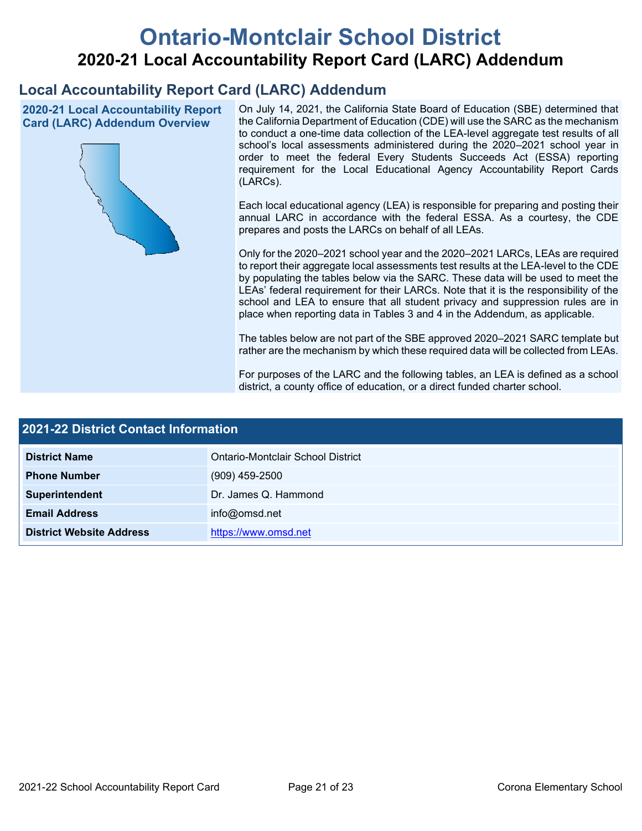# **Ontario-Montclair School District 2020-21 Local Accountability Report Card (LARC) Addendum**

## **Local Accountability Report Card (LARC) Addendum**

**2020-21 Local Accountability Report Card (LARC) Addendum Overview**



On July 14, 2021, the California State Board of Education (SBE) determined that the California Department of Education (CDE) will use the SARC as the mechanism to conduct a one-time data collection of the LEA-level aggregate test results of all school's local assessments administered during the 2020–2021 school year in order to meet the federal Every Students Succeeds Act (ESSA) reporting requirement for the Local Educational Agency Accountability Report Cards (LARCs).

Each local educational agency (LEA) is responsible for preparing and posting their annual LARC in accordance with the federal ESSA. As a courtesy, the CDE prepares and posts the LARCs on behalf of all LEAs.

Only for the 2020–2021 school year and the 2020–2021 LARCs, LEAs are required to report their aggregate local assessments test results at the LEA-level to the CDE by populating the tables below via the SARC. These data will be used to meet the LEAs' federal requirement for their LARCs. Note that it is the responsibility of the school and LEA to ensure that all student privacy and suppression rules are in place when reporting data in Tables 3 and 4 in the Addendum, as applicable.

The tables below are not part of the SBE approved 2020–2021 SARC template but rather are the mechanism by which these required data will be collected from LEAs.

For purposes of the LARC and the following tables, an LEA is defined as a school district, a county office of education, or a direct funded charter school.

| 2021-22 District Contact Information |                                   |  |
|--------------------------------------|-----------------------------------|--|
| <b>District Name</b>                 | Ontario-Montclair School District |  |
| <b>Phone Number</b>                  | $(909)$ 459-2500                  |  |
| Superintendent                       | Dr. James Q. Hammond              |  |
| <b>Email Address</b>                 | info@omsd.net                     |  |
| <b>District Website Address</b>      | https://www.omsd.net              |  |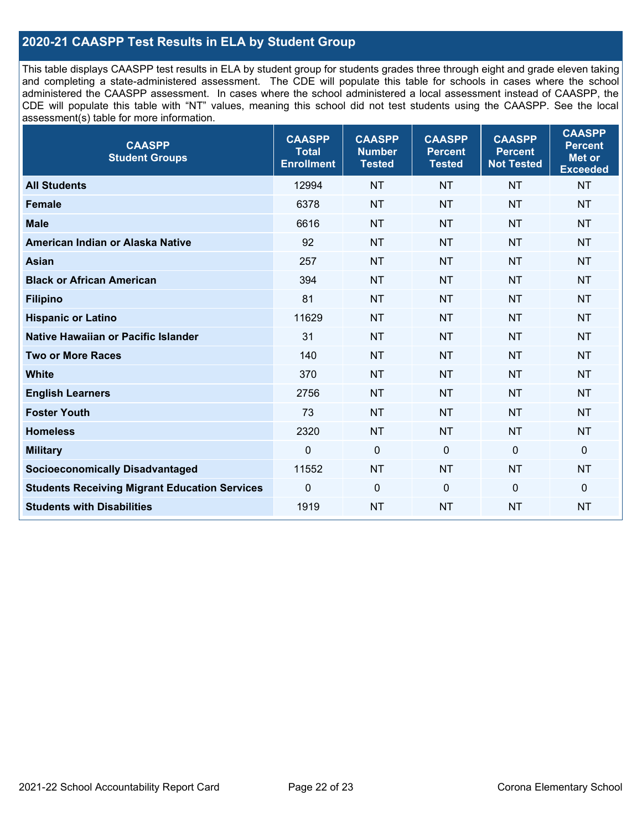## **2020-21 CAASPP Test Results in ELA by Student Group**

This table displays CAASPP test results in ELA by student group for students grades three through eight and grade eleven taking and completing a state-administered assessment. The CDE will populate this table for schools in cases where the school administered the CAASPP assessment. In cases where the school administered a local assessment instead of CAASPP, the CDE will populate this table with "NT" values, meaning this school did not test students using the CAASPP. See the local assessment(s) table for more information.

| <b>CAASPP</b><br><b>Student Groups</b>               | <b>CAASPP</b><br><b>Total</b><br><b>Enrollment</b> | <b>CAASPP</b><br><b>Number</b><br><b>Tested</b> | <b>CAASPP</b><br><b>Percent</b><br><b>Tested</b> | <b>CAASPP</b><br><b>Percent</b><br><b>Not Tested</b> | <b>CAASPP</b><br><b>Percent</b><br>Met or<br><b>Exceeded</b> |
|------------------------------------------------------|----------------------------------------------------|-------------------------------------------------|--------------------------------------------------|------------------------------------------------------|--------------------------------------------------------------|
| <b>All Students</b>                                  | 12994                                              | <b>NT</b>                                       | <b>NT</b>                                        | <b>NT</b>                                            | <b>NT</b>                                                    |
| <b>Female</b>                                        | 6378                                               | <b>NT</b>                                       | <b>NT</b>                                        | <b>NT</b>                                            | <b>NT</b>                                                    |
| <b>Male</b>                                          | 6616                                               | <b>NT</b>                                       | <b>NT</b>                                        | <b>NT</b>                                            | <b>NT</b>                                                    |
| American Indian or Alaska Native                     | 92                                                 | <b>NT</b>                                       | <b>NT</b>                                        | <b>NT</b>                                            | <b>NT</b>                                                    |
| <b>Asian</b>                                         | 257                                                | <b>NT</b>                                       | <b>NT</b>                                        | <b>NT</b>                                            | <b>NT</b>                                                    |
| <b>Black or African American</b>                     | 394                                                | <b>NT</b>                                       | <b>NT</b>                                        | <b>NT</b>                                            | <b>NT</b>                                                    |
| <b>Filipino</b>                                      | 81                                                 | <b>NT</b>                                       | <b>NT</b>                                        | <b>NT</b>                                            | <b>NT</b>                                                    |
| <b>Hispanic or Latino</b>                            | 11629                                              | <b>NT</b>                                       | <b>NT</b>                                        | <b>NT</b>                                            | <b>NT</b>                                                    |
| <b>Native Hawaiian or Pacific Islander</b>           | 31                                                 | <b>NT</b>                                       | <b>NT</b>                                        | <b>NT</b>                                            | <b>NT</b>                                                    |
| <b>Two or More Races</b>                             | 140                                                | <b>NT</b>                                       | <b>NT</b>                                        | <b>NT</b>                                            | <b>NT</b>                                                    |
| <b>White</b>                                         | 370                                                | <b>NT</b>                                       | <b>NT</b>                                        | <b>NT</b>                                            | <b>NT</b>                                                    |
| <b>English Learners</b>                              | 2756                                               | <b>NT</b>                                       | <b>NT</b>                                        | <b>NT</b>                                            | <b>NT</b>                                                    |
| <b>Foster Youth</b>                                  | 73                                                 | <b>NT</b>                                       | <b>NT</b>                                        | <b>NT</b>                                            | <b>NT</b>                                                    |
| <b>Homeless</b>                                      | 2320                                               | <b>NT</b>                                       | <b>NT</b>                                        | <b>NT</b>                                            | <b>NT</b>                                                    |
| <b>Military</b>                                      | $\mathbf 0$                                        | $\mathbf 0$                                     | $\mathbf 0$                                      | $\mathbf 0$                                          | 0                                                            |
| <b>Socioeconomically Disadvantaged</b>               | 11552                                              | <b>NT</b>                                       | <b>NT</b>                                        | <b>NT</b>                                            | <b>NT</b>                                                    |
| <b>Students Receiving Migrant Education Services</b> | 0                                                  | $\mathbf 0$                                     | $\Omega$                                         | $\mathbf 0$                                          | 0                                                            |
| <b>Students with Disabilities</b>                    | 1919                                               | <b>NT</b>                                       | <b>NT</b>                                        | <b>NT</b>                                            | <b>NT</b>                                                    |